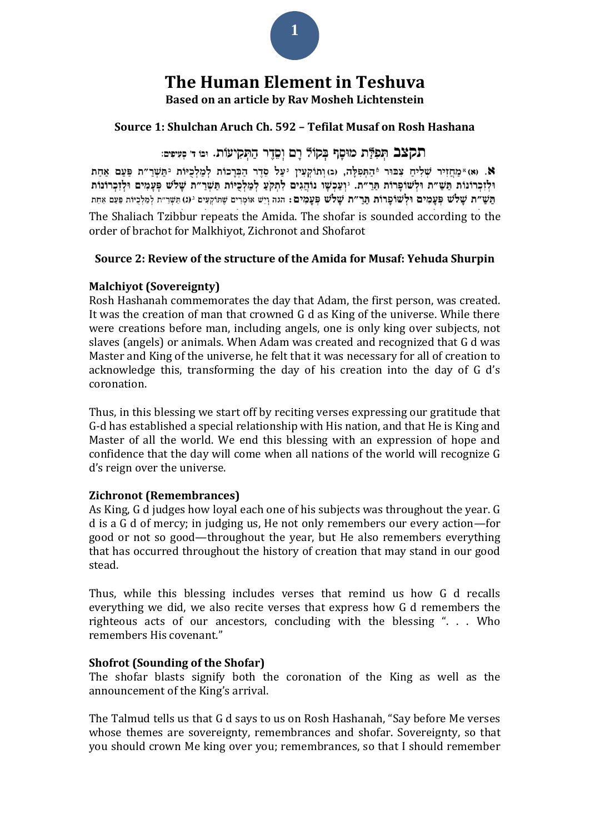

# **The Human Element in Teshuva**

**Based on an article by Rav Mosheh Lichtenstein**

## **Source 1: Shulchan Aruch Ch. 592 – Tefilat Musaf on Rosh Hashana**

## תקצב תִּפְלַּת מוּםַף בְקוֹל רַם וְםֵדֵר הַתְּקִיעוֹת. וּנוּ ד׳ מִעִיפִּים:

8. (א) "מחזיר שליח צבוּר ¢התּפלָה, (ג) ותוֹקעין יעל סדר הבּרכוֹת למלכיוֹת יתּשׁר״ת פּעם אחת וּלְזְכְרוֹנוֹת תַּשִׁ״ת וּלְשׁוֹפָרוֹת תַּרֵ״ת. יִוַעֲכְשָׁו נוֹהֲגִים לְתִקְעָ לְמַלְכְיּוֹת תַּשָׁרֵ״ת שָׁלֹש פְּעֲמִים וּלְזְכְרוֹנוֹת תֵּשֵׁ"ת שַׁלֹשׁ פְּעֲמָים וּלְשׁוֹפָרוֹת תַּרַ"ת שָׁלֹשׁ פְּעֲמִים: הגה וְיֵשׁ אוֹמְרִים שַׁתּוֹקְעִים <sup>גּ</sup> (ג) תַּשְׁרַ"ת לְמַלְכָיּוֹת פַּעַם אַחַת

The Shaliach Tzibbur repeats the Amida. The shofar is sounded according to the order of brachot for Malkhiyot, Zichronot and Shofarot

#### **Source 2: Review of the structure of the Amida for Musaf: Yehuda Shurpin**

#### **Malchiyot (Sovereignty)**

Rosh Hashanah commemorates the day that Adam, the first person, was created. It was the creation of man that crowned G d as King of the universe. While there were creations before man, including angels, one is only king over subjects, not slaves (angels) or animals. When Adam was created and recognized that G d was Master and King of the universe, he felt that it was necessary for all of creation to acknowledge this, transforming the day of his creation into the day of G d's coronation.

Thus, in this blessing we start off by reciting verses expressing our gratitude that G-d has established a special relationship with His nation, and that He is King and Master of all the world. We end this blessing with an expression of hope and confidence that the day will come when all nations of the world will recognize G d's reign over the universe.

#### **Zichronot (Remembrances)**

As King, G d judges how loyal each one of his subjects was throughout the year. G d is a G d of mercy; in judging us, He not only remembers our every action—for good or not so good—throughout the year, but He also remembers everything that has occurred throughout the history of creation that may stand in our good stead.

Thus, while this blessing includes verses that remind us how G d recalls everything we did, we also recite verses that express how G d remembers the righteous acts of our ancestors, concluding with the blessing ". . . Who remembers His covenant."

#### **Shofrot (Sounding of the Shofar)**

The shofar blasts signify both the coronation of the King as well as the announcement of the King's arrival.

The Talmud tells us that G d says to us on Rosh Hashanah, "Say before Me verses whose themes are sovereignty, remembrances and shofar. Sovereignty, so that you should crown Me king over you; remembrances, so that I should remember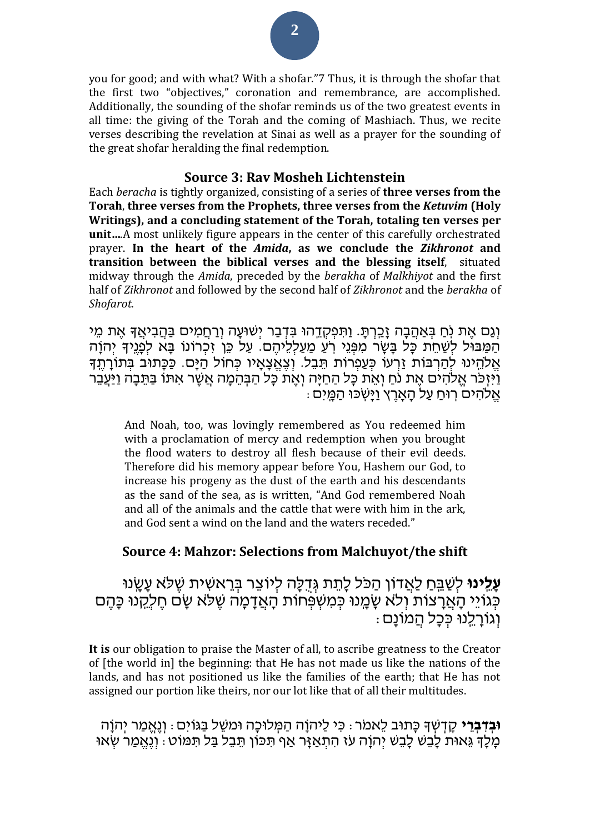you for good; and with what? With a shofar."7 Thus, it is through the shofar that the first two "objectives," coronation and remembrance, are accomplished. Additionally, the sounding of the shofar reminds us of the two greatest events in all time: the giving of the Torah and the coming of Mashiach. Thus, we recite verses describing the revelation at Sinai as well as a prayer for the sounding of the great shofar heralding the final redemption.

#### **Source 3: Rav Mosheh Lichtenstein**

Each *beracha* is tightly organized, consisting of a series of **three verses from the Torah**, **three verses from the Prophets, three verses from the** *Ketuvim* **(Holy Writings), and a concluding statement of the Torah, totaling ten verses per unit…**.A most unlikely figure appears in the center of this carefully orchestrated prayer. **In the heart of the** *Amida***, as we conclude the** *Zikhronot* **and transition between the biblical verses and the blessing itself**, situated midway through the *Amida*, preceded by the *berakha* of *Malkhiyot* and the first half of *Zikhronot* and followed by the second half of *Zikhronot* and the *berakha* of *Shofarot.*

וְגַּם אֶת נְׂחַ בְּאַהֲבָה זָכֵרְתָּ. וַתִּפְקְדֵהוּ בִּדְבַר יְשׁוּעָה וְרַחֲמִים בַּהֲבִיאֲךָ אֶת מֵי הַמַּבּוֹּל לְשָׁחֶת כָּל בַּשֶּׂר מִפְּנֵי רֹעֲ מַעַלְלֶיהֶם. עַל כֶּן זָכְרוֹנוֹ בַּא לְפֵנֵיךָ יְהוַה אֱלֹהֵינוּ לִהַרְבּוֹת זַרְעוֹ כִּעֲפְרוֹת תַבָל. וְצֶאֱצָאֵיו כְּחוֹל הַיָּם. כַּכָּתוּב בְּתוֹרְתֵךָ וַיִּזְכֹּר אֱלֹהִים אֶת נֹחַ וְאֵת כָּל הַחַיָּה וְאֶת כָּל הַבְּהֵמָה אֲשֶׁר אִתּוּ בַּתֵּבָה וַיַּעֲבֵר  $\alpha$  אֵלֹהִים רוּח עַל האָרץ וַיּּשָׂכּוּ הַמֵּיִם

And Noah, too, was lovingly remembered as You redeemed him with a proclamation of mercy and redemption when you brought the flood waters to destroy all flesh because of their evil deeds. Therefore did his memory appear before You, Hashem our God, to increase his progeny as the dust of the earth and his descendants as the sand of the sea, as is written, "And God remembered Noah and all of the animals and the cattle that were with him in the ark, and God sent a wind on the land and the waters receded."

## **Source 4: Mahzor: Selections from Malchuyot/the shift**

**עָלֵינוּ** לְשַׁבֵּחַ לַאֲדוֹן הַכֹּל לָתֵת גְּדָלָה לִיוֹצֵר בְּרֵאשִׁית שֵׁלֹּא עָשֶׂנוּ כְּגֹוֹיֵ הָאֲרָצוֹת וְלֹא שָׁמֶנוּ כְּמִשְׁפְּחוֹת הָאֲדָמָה שֶׁלֹּא שָׂם חֶלְקָנוּ כָּהֶם .<br>וְגוֹרַלֵנוּ כְּכַל הֲמֹוֹנַם :

**It is** our obligation to praise the Master of all, to ascribe greatness to the Creator of [the world in] the beginning: that He has not made us like the nations of the lands, and has not positioned us like the families of the earth; that He has not assigned our portion like theirs, nor our lot like that of all their multitudes.

**ּובְ דִ בְ ר י** קָ דְ ׁשְ ָך כָתּוב ל אמ ר: כִּ י לַיהֹוָה הַ מְ לּוכָה ּומׁש ל בַ גֹויִּם: וְ נֶאֱ מַ ר יְהֹוָה ְמַלָּךְ גֵּאוּת לָבֶשׁ לָבֶשׁ יְהוַה עז הִתְאַזֵּר אַף תִּכּוֹן תֵּבֶל בַּל תִּמּוֹט: וְנֶאֱמַר שְׂאוּ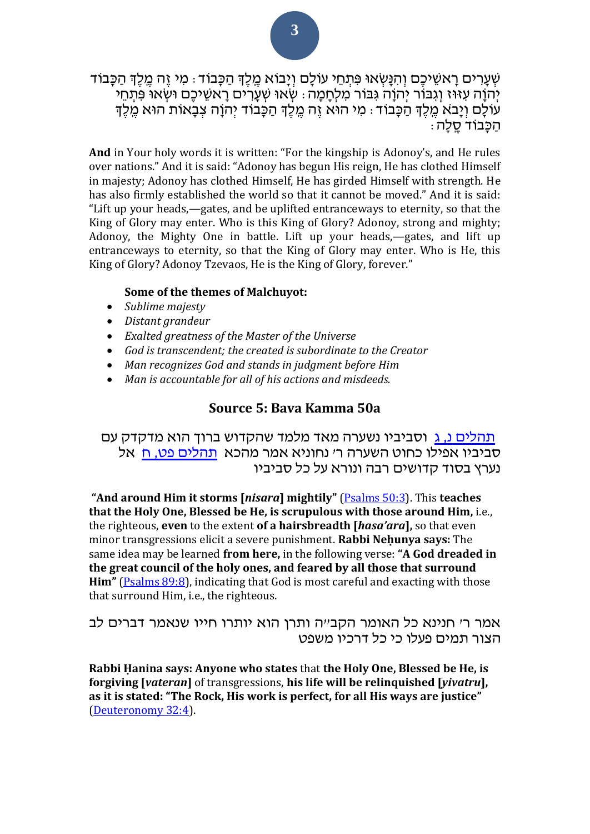ּשְׁעָרִים רָאשֵׁיכֵם וְהִנָּשְׂאוּ פִּתְחֵי עוֹלָם וְיָבוֹא מֵלֵךְ הַכָּבוֹד : מִי זֶה מֵלֵךְ הַכָּבוֹד יְהֹוָה עִזּוּז וְגִבּוֹר יִהְוָה גִּבּוֹר מִלְחָמָה : שְׂאוּ שָׁעֲרִים רָאשֵׁיכֶם וּשְׂאוּ פִּתְחֵי ּעֹולָם וְיָבֹא מֶלֶךְ הַכָּבֹוד: מִי הוּא זֶה מֶלֶךְ הַכָּבוֹד יְהוָה צְבָאוֹת הוּא מֶלֶךְ ּהַכָּבוֹד סֻלָה:

**And** in Your holy words it is written: "For the kingship is Adonoy's, and He rules over nations." And it is said: "Adonoy has begun His reign, He has clothed Himself in majesty; Adonoy has clothed Himself, He has girded Himself with strength. He has also firmly established the world so that it cannot be moved." And it is said: "Lift up your heads,—gates, and be uplifted entranceways to eternity, so that the King of Glory may enter. Who is this King of Glory? Adonoy, strong and mighty; Adonoy, the Mighty One in battle. Lift up your heads,—gates, and lift up entranceways to eternity, so that the King of Glory may enter. Who is He, this King of Glory? Adonoy Tzevaos, He is the King of Glory, forever."

#### **Some of the themes of Malchuyot:**

- *Sublime majesty*
- *Distant grandeur*
- *Exalted greatness of the Master of the Universe*
- *God is transcendent; the created is subordinate to the Creator*
- *Man recognizes God and stands in judgment before Him*
- *Man is accountable for all of his actions and misdeeds.*

#### **Source 5: Bava Kamma 50a**

[תהלים נ, ג](/Psalms.50.3) וסביביו נשערה מאד מלמד שהקדוש ברוך הוא מדקדק עם סביביו אפילו כחוט השערה ר' נחוניא אמר מהכא [תהלים פט, ח](/Psalms.89.8) אל נערץ בסוד קדושים רבה ונורא על כל סביביו

**"And around Him it storms [***nisara***] mightily"** [\(Psalms 50:3\)](/Psalms.50.3). This **teaches that the Holy One, Blessed be He, is scrupulous with those around Him,** i.e., the righteous, **even** to the extent **of a hairsbreadth [***hasa'ara***],** so that even minor transgressions elicit a severe punishment. **Rabbi Neḥunya says:** The same idea may be learned **from here,** in the following verse: **"A God dreaded in the great council of the holy ones, and feared by all those that surround Him"** [\(Psalms 89:8\)](/Psalms.89.8), indicating that God is most careful and exacting with those that surround Him, i.e., the righteous.

אמר ר' חנינא כל האומר הקב"ה ותרן הוא יותרו חייו שנאמר דברים לב הצור תמים פעלו כי כל דרכיו משפט

**Rabbi Ḥanina says: Anyone who states** that **the Holy One, Blessed be He, is forgiving [***vateran***]** of transgressions, **his life will be relinquished [***yivatru***], as it is stated: "The Rock, His work is perfect, for all His ways are justice"** [\(Deuteronomy 32:4\)](/Deuteronomy.32.4).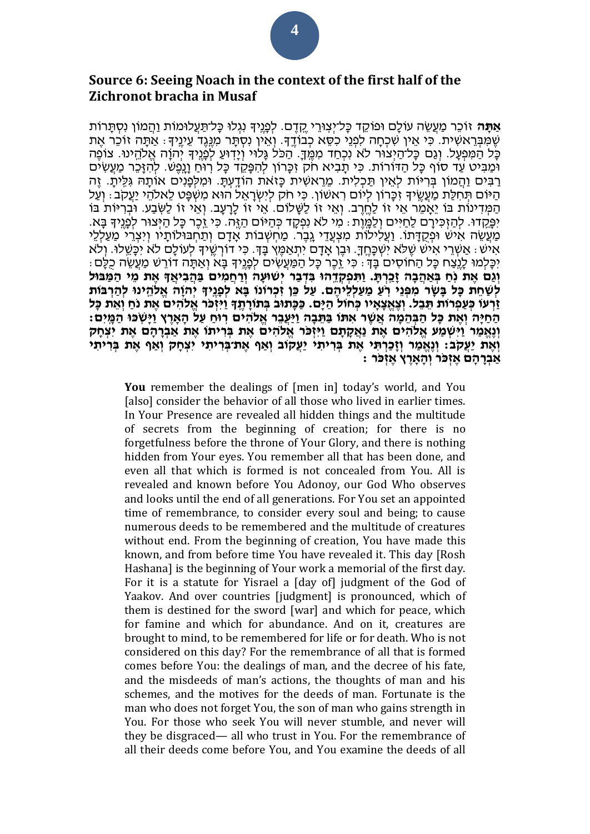## **Source 6: Seeing Noach in the context of the first half of the Zichronot bracha in Musaf**

**אַתָּה** זֹוכֵר מַעֲשֶׂה עוֹלָם וּפוֹקֵד כָּל־יִצְוּרֵי קֵדֶם. לִפְנֵיךְ נִגְלוּ כָּל־תַּעֲלוּמוֹת וַהֲמוֹן נִסְתָּרוֹת ְשֶׁמְּבְרָאשִׁית. כִּי אֵין שִׁכְחַה לִפְנֵי כִסֶּא כְבוֹדֵךָ. וְאֵין נִסְתֵּר מִנֶּגֶד עֵינֵיךָ: אַתַּה זוכר אֶת ּכָּל הַמִּפְעָל. וְגֵם כָּל־הַיְצוּר לֹא נִכְחַד מִמֵּךָ. הַכֹּל גַּלוּי וְיָדִוּעַ לְפָנֵיךְ יְהוַה אֱלֹהֱינוּ. צוֹפֶה ּומַ בִּ יט עַ ד סֹוף כָל הַ ּדֹורֹות. כִּ י תָ בִּ יא ח ק זִּ כָרֹון לְהִּ פָק ד כָל רֹֽ ּוחַ וָנָ ֹֽפֶׁש. לְהִּ זָכ ר מַ עֲשִּ ים רַבִּים וַהֲמֹוֹן בְּרִיּוֹת לְאֵין תַּכְלִית. מֵרָאשִׁית כַּזאת הוֹדֵעְתַּ. וּמִלְפָנִים אוֹתֵהּ גִּלֵּיתַ. זֶה ּהַ יֹּוֹם תִּחְלַת מַעֲשֵׂיךָ זָכָרוֹן לִיוֹם רָאשׁוֹן. כִּי חֹק לִיִּשְׂרָאֵל הוּא מִשְׁפֵּט לֵאלהֵי יַעֲקב: וְעַל הַמְּדִינוֹת בּוֹ יֵאֲמֶר אֵי זוֹ לַחֱרֵב. וְאֵי זוֹ לַשָּׁלֹוֹם. אֵי זוֹ לַרָעֲב. וְאֵי זוֹ לַשְׂבָע. וּבְרִיּוֹת בּוֹ יִפְּקֵדוּ. לְהַזְכִּירָם לַחַיִּים וְלַמֲוֶת : מִי לֹא נִפְקָד כְּהַיּוֹם הַזֶּה. כִּי זֶכֶר כָּל הַיִּצוּר לִפְנֵיךְ בָּא. מַעְשׂה אִישׁ וּפַקְדָּתוֹ. וַעַלִילוֹת מַצְעָדי גָבֶר. מַחְשָׁבוֹת אָדָם וְתַחְבּוּלוֹתְיו וִיצְרִי מַעָלְלִי ֹאִיש: אַשְׁרֵי אִישׁ שֵׁלֹּא יִשְׁכָּחֵךָ. וּבֵן אָדָם יִתְאַמֵּץ בָּךָ. כִּי דֹורְשֵׁיךָ לְעוֹלָם לֹא יִכָּשֵׁלוּ. וְלֹא ּיִכְּלְמוּ לָנֶצֶח כַּל הַחוֹסִים בַּדְּ : כִּי זֶכֶר כַּל הַמַּעֲשִׂים לְפָנֵיִךְ בַּא וְאַתֵּה דוֹרֵשׁ מַעֲשֶׂה כִלֶם: וגם את נח באהבה זכרת. ותפקדהו בדבר ישועה ורחמים בהביאך את מי המבול לְשָׁחַת כָּל בַּשֶׁר מִפְּנֵי רֹעַ מַעַלְלֵיהֵם. עַל כֵּן זְכָרוֹנוֹ בֵּא לְפְנֵיךְ יְהוָה אֲלֹהֵינוּ לְהַרְבּוֹת זַרְעו כְּעַפְרוֹת תֵּבֶל. וְצֶאֱצָאָיו כְּחוֹל הַיַּם. כַּכָּתוּב בְּתוֹרָתֶךְ וַיִּזְכֹּר אֱלֹהִים אֶת נֹחַ וְאֶת כָּל ּהַחַיַּה וְאֶת כָּל הַבְּהֶמַה אֲשֶׁר אִתּוֹ בַּתֵּבָה וַיַּעֲבֶר אֱלֹהִים רְוּחַ עַל הָאֲרֶץ וַיַּשְׂכּוּ הַמֵּיִם וְ נֵאֲמַר וַיִּשְׁמַע אֱלֹהִים אֶת נַאֲקָתָם וַיִּזְכֹּר אֱלֹהִים אֶת בְּרִיתוֹ אֶת אֲבְרָהֶם אֶת יִצְחֶק **וְאֵת יַעֲקֹב: וְנֵאֱמַר וְזָכַרְתִּי אֶת בִּרְיתִי יַעֲקוֹב וְאַף אֶת־בִּרְיתִי יִצְחָק וְאַף אֶת בִּרְיתִי אַ בְ רָ הָ ם אֶ זְ כ ר וְ הָ אָ רֶ ץ אֶ זְ כ ר :**

You remember the dealings of [men in] today's world, and You [also] consider the behavior of all those who lived in earlier times. In Your Presence are revealed all hidden things and the multitude of secrets from the beginning of creation; for there is no forgetfulness before the throne of Your Glory, and there is nothing hidden from Your eyes. You remember all that has been done, and even all that which is formed is not concealed from You. All is revealed and known before You Adonoy, our God Who observes and looks until the end of all generations. For You set an appointed time of remembrance, to consider every soul and being; to cause numerous deeds to be remembered and the multitude of creatures without end. From the beginning of creation, You have made this known, and from before time You have revealed it. This day [Rosh Hashana] is the beginning of Your work a memorial of the first day. For it is a statute for Yisrael a [day of] judgment of the God of Yaakov. And over countries [judgment] is pronounced, which of them is destined for the sword [war] and which for peace, which for famine and which for abundance. And on it, creatures are brought to mind, to be remembered for life or for death. Who is not considered on this day? For the remembrance of all that is formed comes before You: the dealings of man, and the decree of his fate, and the misdeeds of man's actions, the thoughts of man and his schemes, and the motives for the deeds of man. Fortunate is the man who does not forget You, the son of man who gains strength in You. For those who seek You will never stumble, and never will they be disgraced— all who trust in You. For the remembrance of all their deeds come before You, and You examine the deeds of all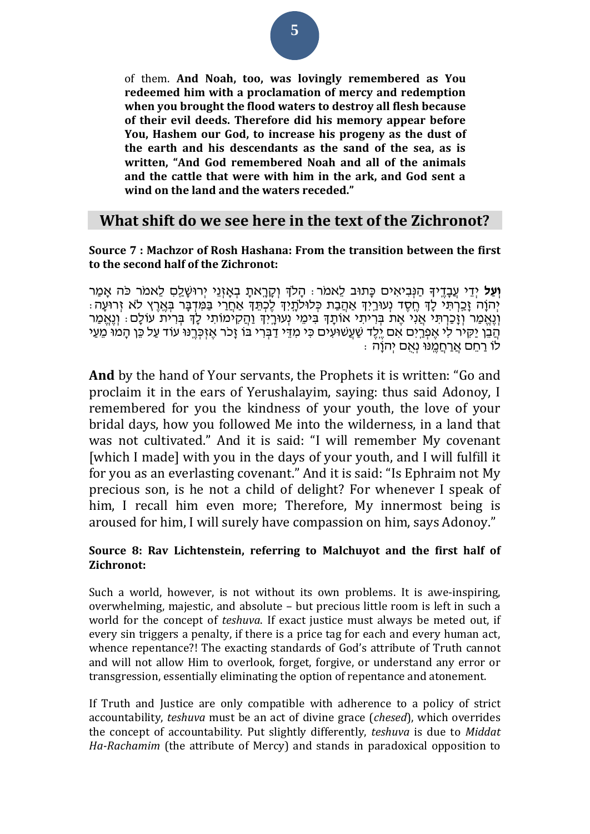of them. **And Noah, too, was lovingly remembered as You redeemed him with a proclamation of mercy and redemption when you brought the flood waters to destroy all flesh because of their evil deeds. Therefore did his memory appear before You, Hashem our God, to increase his progeny as the dust of the earth and his descendants as the sand of the sea, as is written, "And God remembered Noah and all of the animals and the cattle that were with him in the ark, and God sent a wind on the land and the waters receded."**

## **What shift do we see here in the text of the Zichronot?**

#### **Source 7 : Machzor of Rosh Hashana: From the transition between the first to the second half of the Zichronot:**

**וְעַל** יְדֵי עֵבָדֵיךָ הַנִּבִיאִים כַּתוּב לֵאמֹר: הָלֹךְ וְקָרֵאתָ בְאָזְנֵי יְרוּשָׁלֵם לֵאמֹר כֹּה אָמַר ּיְהֹוָה זָכַרְתִּי לְדָ חֶסֶד נְעוּרַיִד אַהֲבַת כְּלוּלֹתָיִד לֶכְתֵד אַחֲרַי בַּמִּדְבָר בְּאֶרֶץ לְא זְרוּעָה: וְנֶאֱמַר וְזָכַרְתִּי אֲנִי אֶת בְּרִיתִי אוֹתָךָ בִּימֶי נְעוּרֵיִךְ וַהֲקִימוֹתִי לַדְ בִּרְית עוֹלָם: וְנֶאֱמַר הֲבֵּ׀ יַקִּיֹר לִי אֶפְרֵיִם אִם יֶלֶד שַׁעֲשׁוּעִים כִּי מְדֵי דַבְרִי בֹּו זָכֹר אֶזְכְּרֱנּוּ עוֹד עַל כֵּן הָמוּ מֵעַי ֹּלֹוֹ רַחֵם אֲרַחֲמֶנּוּ נְאָם יְהֹוֶה :

**And** by the hand of Your servants, the Prophets it is written: "Go and proclaim it in the ears of Yerushalayim, saying: thus said Adonoy, I remembered for you the kindness of your youth, the love of your bridal days, how you followed Me into the wilderness, in a land that was not cultivated." And it is said: "I will remember My covenant [which I made] with you in the days of your youth, and I will fulfill it for you as an everlasting covenant." And it is said: "Is Ephraim not My precious son, is he not a child of delight? For whenever I speak of him, I recall him even more; Therefore, My innermost being is aroused for him, I will surely have compassion on him, says Adonoy."

### **Source 8: Rav Lichtenstein, referring to Malchuyot and the first half of Zichronot:**

Such a world, however, is not without its own problems. It is awe-inspiring, overwhelming, majestic, and absolute – but precious little room is left in such a world for the concept of *teshuva*. If exact justice must always be meted out, if every sin triggers a penalty, if there is a price tag for each and every human act, whence repentance?! The exacting standards of God's attribute of Truth cannot and will not allow Him to overlook, forget, forgive, or understand any error or transgression, essentially eliminating the option of repentance and atonement.

If Truth and Justice are only compatible with adherence to a policy of strict accountability, *teshuva* must be an act of divine grace (*chesed*), which overrides the concept of accountability. Put slightly differently, *teshuva* is due to *Middat Ha-Rachamim* (the attribute of Mercy) and stands in paradoxical opposition to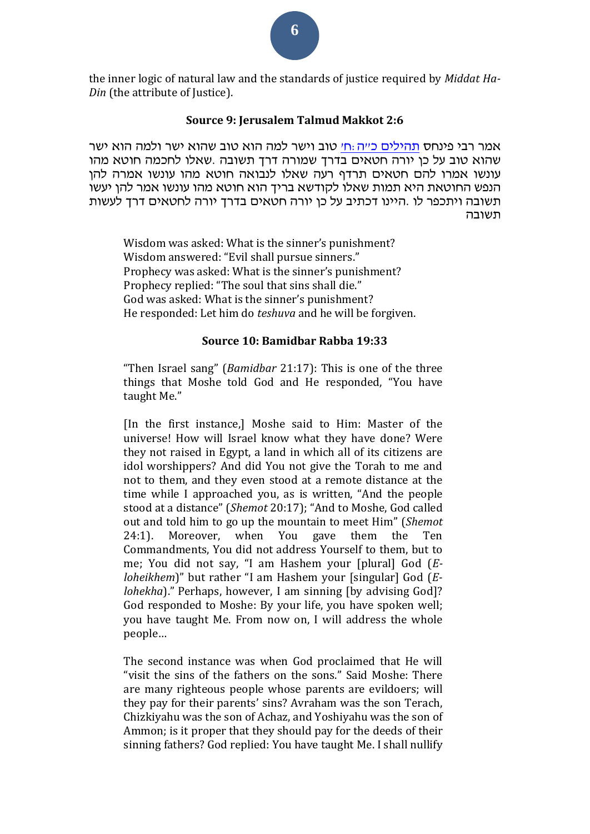

#### **Source 9: Jerusalem Talmud Makkot 2:6**

אמר רבי פינחס [תהילים כ״ה:ח׳](/Psalms.25.8) טוב וישר למה הוא טוב שהוא ישר ולמה הוא ישר שהוא טוב על כן יורה חטאים בדרך שמורה דרך תשובה .שאלו לחכמה חוטא מהו עונשו אמרו להם חטאים תרדף רעה שאלו לנבואה חוטא מהו עונשו אמרה להן הנפש ה חוטאת היא תמות שאלו לקודשא בריך הוא חוטא מהו עונשו אמר להן יעשו תשובה ויתכפר לו .היינו דכתיב על כן יורה חטאים בדרך יורה ל חטאים דרך לעשות תשובה

Wisdom was asked: What is the sinner's punishment? Wisdom answered: "Evil shall pursue sinners." Prophecy was asked: What is the sinner's punishment? Prophecy replied: "The soul that sins shall die." God was asked: What is the sinner's punishment? He responded: Let him do *teshuva* and he will be forgiven.

#### **Source 10: Bamidbar Rabba 19:33**

"Then Israel sang" (*Bamidbar* 21:17): This is one of the three things that Moshe told God and He responded, "You have taught Me."

[In the first instance,] Moshe said to Him: Master of the universe! How will Israel know what they have done? Were they not raised in Egypt, a land in which all of its citizens are idol worshippers? And did You not give the Torah to me and not to them, and they even stood at a remote distance at the time while I approached you, as is written, "And the people stood at a distance" (*Shemot* 20:17); "And to Moshe, God called out and told him to go up the mountain to meet Him" (*Shemot* 24:1). Moreover, when You gave them the Ten Commandments, You did not address Yourself to them, but to me; You did not say, "I am Hashem your [plural] God (*Eloheikhem*)" but rather "I am Hashem your [singular] God (*Elohekha*)." Perhaps, however, I am sinning [by advising God]? God responded to Moshe: By your life, you have spoken well; you have taught Me. From now on, I will address the whole people…

The second instance was when God proclaimed that He will "visit the sins of the fathers on the sons." Said Moshe: There are many righteous people whose parents are evildoers; will they pay for their parents' sins? Avraham was the son Terach, Chizkiyahu was the son of Achaz, and Yoshiyahu was the son of Ammon; is it proper that they should pay for the deeds of their sinning fathers? God replied: You have taught Me. I shall nullify

**6**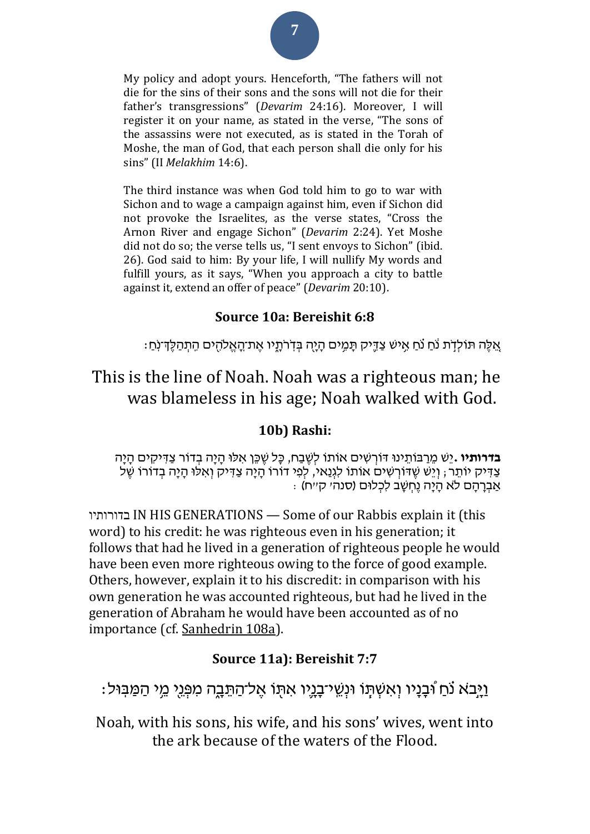

The third instance was when God told him to go to war with Sichon and to wage a campaign against him, even if Sichon did not provoke the Israelites, as the verse states, "Cross the Arnon River and engage Sichon" (*Devarim* 2:24). Yet Moshe did not do so; the verse tells us, "I sent envoys to Sichon" (ibid. 26). God said to him: By your life, I will nullify My words and fulfill yours, as it says, "When you approach a city to battle against it, extend an offer of peace" (*Devarim* 20:10).

## **Source 10a: Bereishit 6:8**

: אֵלֵּה תּוֹלְדָׂת נֹֹחַ נֹחַ אִישׁ צַדֶּיק תָּמִים הָיָה בְּדִׂרֹתֶיו אֶת־הָאֱלֹהֶים הִתְּהַלֶּדִּינְחַ

## This is the line of Noah. Noah was a righteous man; he was blameless in his age; Noah walked with God.

## **10b) Rashi:**

**בדרותיו .**יֵשׁ מֵרַבּוֹתֵינוּ דּוֹרְשִׁים אוֹתוֹ לִשֵׁבַח, כָּל שֵׁכֵּן אִלּוּ הָיָה בְדוֹר צַדִּיקִים הָיָה ּצַדִּיק יוֹתֵר, וְיֵשׁ שֵׁדּוֹרְשִׁים אוֹתוֹ לִגְנַאי, לִפִּי דוֹרוֹ הָיָה צַדִּיק וְאִלּוּ הָיָה בְדוֹרוֹ שֵׁל . אַבְרַהַם לֹא הַיַּה נֵחְשַׁב לִכְלוּם (סנה׳ ק׳יח)

 בדורותיו IN HIS GENERATIONS — Some of our Rabbis explain it (this word) to his credit: he was righteous even in his generation; it follows that had he lived in a generation of righteous people he would have been even more righteous owing to the force of good example. Others, however, explain it to his discredit: in comparison with his own generation he was accounted righteous, but had he lived in the generation of Abraham he would have been accounted as of no importance (cf. [Sanhedrin 108a\)](/Sanhedrin.108a).

## **Source 11a): Bereishit 7:7**

וַיָּבֹא נֹחַ וּבְנַיו וְאִשְׁתָּוֹ וּנְשֵׁי־בָנֵיו אִתְּו אֵל־הַתֵּבָה מִפְּנֵי מֵי הַמַּבִּוּל:

Noah, with his sons, his wife, and his sons' wives, went into the ark because of the waters of the Flood.

# **7**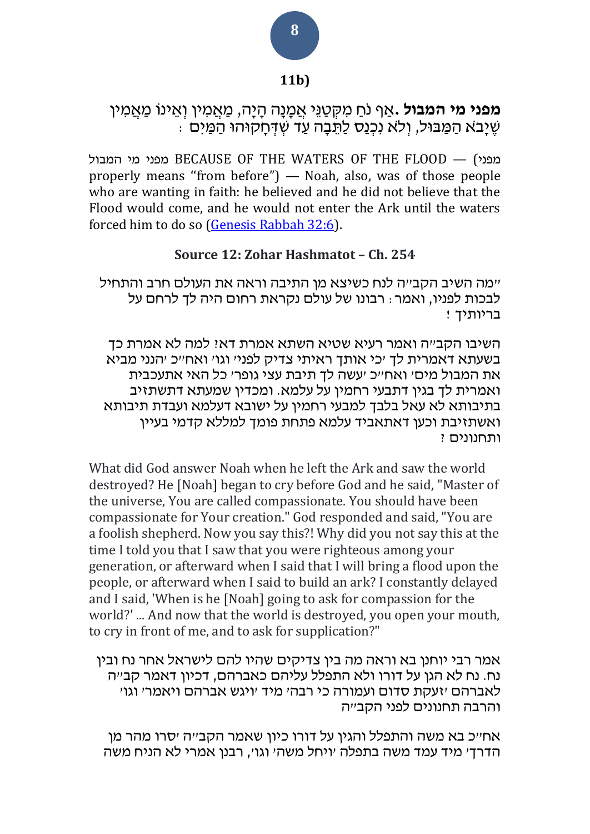## **11b)**

## **מפני מי המבול <sub>י</sub>אַף** נֹחַ מִקְטַגֵּי אֲמָנָה הָיָה, מַאֲמִין וְאֵינוֹ מַאֲמִין ׁשֶ יָב א הַ מַ בּול, וְ ל א נִּכְ נַס לַת בָ ה עַ ד ׁשְ ּדְ חָ קּוהּו הַ מַ יִּם :

המבול מי מפני BECAUSE OF THE WATERS OF THE FLOOD — ( מפני properly means ''from before") — Noah, also, was of those people who are wanting in faith: he believed and he did not believe that the Flood would come, and he would not enter the Ark until the waters forced him to do so [\(Genesis Rabbah 32:6\)](/Bereishit_Rabbah.32.6).

## **Source 12: Zohar Hashmatot – Ch. 254**

"מה השיב הקב"ה לנח כשיצא מן התיבה וראה את העולם חרב והתחיל לבכות לפניו, ואמר: רבונו של עולם נקראת רחום היה לך לרחם על בריותיך !

השיבו הקב״ה ואמר רעיא שטיא השתא אמרת דאיִ למה לא אמרת כד בשעתא דאמרית לך 'כי אותך ראיתי צדיק לפני' וגו' ואח"כ 'הנני מביא את המבול מים' ואח"כ 'עשה לך תיבת עצי גופר' כל האי אתעכבית ואמרית לך בגין דתבעי רחמין על עלמא. ומכדין שמעתא דתשתזיב בתיבותא לא עאל בלבך למבעי רחמין על ישובא דעלמא ועבדת תיבותא ואשתזיבת וכען דאתאביד עלמא פתחת פומך למללא קדמי בעיין ותחנונים ?

What did God answer Noah when he left the Ark and saw the world destroyed? He [Noah] began to cry before God and he said, "Master of the universe, You are called compassionate. You should have been compassionate for Your creation." God responded and said, "You are a foolish shepherd. Now you say this?! Why did you not say this at the time I told you that I saw that you were righteous among your generation, or afterward when I said that I will bring a flood upon the people, or afterward when I said to build an ark? I constantly delayed and I said, 'When is he [Noah] going to ask for compassion for the world?' ... And now that the world is destroyed, you open your mouth, to cry in front of me, and to ask for supplication?"

אמר רבי יוחנן בא וראה מה בין צדיקים שהיו להם לישראל אחר נח ובין נח. נח לא הגן על דורו ולא התפלל עליהם כאברהם, דכיון דאמר קב"ה לאברהם 'זעקת סדום ועמורה כי רבה' מיד 'ויגש אברהם ויאמר' וגו' והרבה תחנונים לפני הקב"ה

אח"כ בא משה והתפלל והגין על דורו כיון שאמר הקב"ה 'סרו מהר מן הדרך' מיד עמד משה בתפלה 'ויחל משה' וגו', רבנן אמרי לא הניח משה

## **8**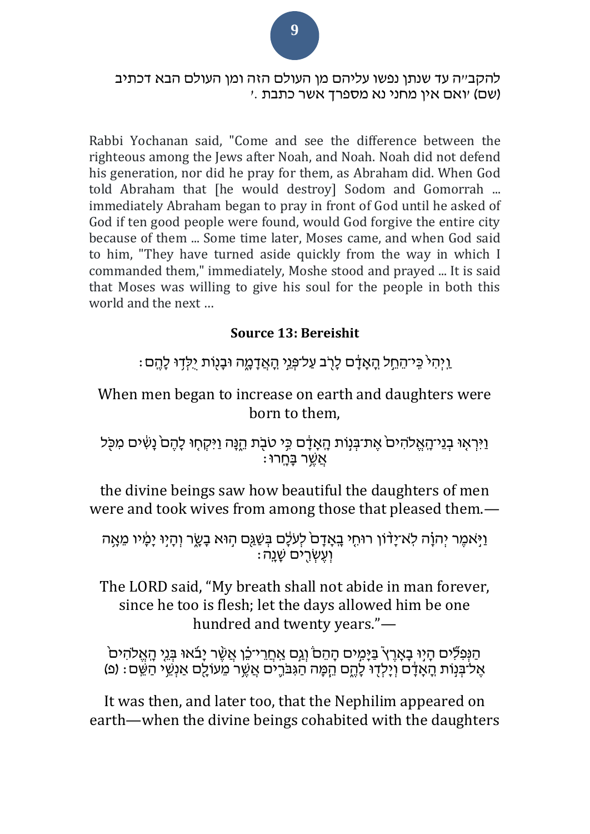להקב׳יה עד שנתן נפשו עליהם מן העולם הזה ומן העולם הבא דכתיב )שם( 'ואם א ין מחני נא מספרך אשר כתבת .'

Rabbi Yochanan said, "Come and see the difference between the righteous among the Jews after Noah, and Noah. Noah did not defend his generation, nor did he pray for them, as Abraham did. When God told Abraham that [he would destroy] Sodom and Gomorrah ... immediately Abraham began to pray in front of God until he asked of God if ten good people were found, would God forgive the entire city because of them ... Some time later, Moses came, and when God said to him, "They have turned aside quickly from the way in which I commanded them," immediately, Moshe stood and prayed ... It is said that Moses was willing to give his soul for the people in both this world and the next …

## **Source 13: Bereishit**

 $\,$  יַיְהָי $\,$  כֵּי־הֶחֱל הֲאֲדָם לָרְב עֲל־פְּנֵי הָאֲדָמֶה וּבָנִוּת יִלְדִוּ לָהֱם $\,$   $\,$ 

When men began to increase on earth and daughters were born to them,

וַיִּרְאָוּ בְנֵי־הָאֱלֹהִיםׂ אֶת־בְּנָוֹת הָאָדָם כִּי טֹבָת הֵנָּה וַיִּקְחָוּ לָהֶםׂ נָשִׁים מִכְּל ֿאֲשֶׁר <u>בַּח</u>ְרוּ

the divine beings saw how beautiful the daughters of men were and took wives from among those that pleased them.—

וַיָּאמֶר יְהוָׂה לְא־יָדוֹן רוּחִי בָאָדָם לְעֹלָם בְּשַׁגַּם הְוּא בָשֶׂר וְהָיִוּ יָמָ֫יו מֵאָה ֿ יְעֵשְׂרֵים שָׁנֵה

The LORD said, "My breath shall not abide in man forever, since he too is flesh; let the days allowed him be one hundred and twenty years."—

ֿוַ הַּנְפִּ לִים הָיִוּ בָאָרֶץ בַּיָּמִים הָהֵם וְגַם אַחֲרֵי־כֵו אֲשֶׁר יָבֹאוּ בְּנֵי הָאֱלֹהִים ֹאֶלֹ־בְּנָוֹת הָאָדָם וְיָלְדָוּ לָהֱם הֵמָּה הַגִּבֹּרֶים אֲשֶׁר מֵעוֹלֶם אַנְשֵׁי הַשֵּׁם: (פ)

It was then, and later too, that the Nephilim appeared on earth—when the divine beings cohabited with the daughters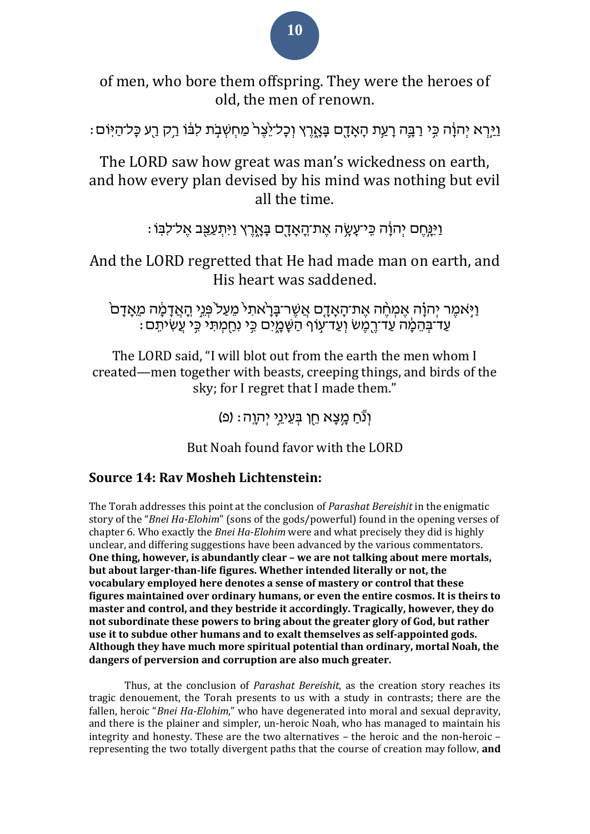# **10**

of men, who bore them offspring. They were the heroes of old, the men of renown.

וַיֵּרְא יְהוַׂה כֵּי רַבֵּה רָעֵת הָאָדָם בָּאָרֵץ וְכָל־יֶצֶר מַחְשְׁבִת לִבּׂוֹ רֵק רֵע כָּל־הַיִּוֹם:

The LORD saw how great was man's wickedness on earth, and how every plan devised by his mind was nothing but evil all the time.

וַיְּנֵחֵם יְהוַׂה כֵּי־עֲשֶׂה אֶת־<u>הָאָדָ</u>ם בַּאֲרֵץ וַיִּתְעַצֵּב אֱל־לִבְּוֹ

And the LORD regretted that He had made man on earth, and His heart was saddened.

ֿוַיָּאמֶר יְהוָ֫ה אֶמְחֶׁה אֶת־הָאָדָם אֲשֶׁר־בָּרָאתִי מֵעַל פְּנֵי הָאֲדָמֶה מֵאָדָם ֹעַדֹּבְהֵמֶ֫ה עַדֹּדֶרֶמֶשׁ וְעַד־עָוֹף הַשָּׁמֳיִם כִּי נִחַמְתִּי כִּי עֲשִׂיתִם :

The LORD said, "I will blot out from the earth the men whom I created—men together with beasts, creeping things, and birds of the sky; for I regret that I made them."

וְנֵ֫חַ מֵצֵא חֵן בַּעֲיָנֵי יִהְוֶה׃ (פ)

But Noah found favor with the LORD

## **Source 14: Rav Mosheh Lichtenstein:**

The Torah addresses this point at the conclusion of *Parashat Bereishit* in the enigmatic story of the "*Bnei Ha-Elohim*" (sons of the gods/powerful) found in the opening verses of chapter 6. Who exactly the *Bnei Ha-Elohim* were and what precisely they did is highly unclear, and differing suggestions have been advanced by the various commentators. **One thing, however, is abundantly clear – we are not talking about mere mortals, but about larger-than-life figures. Whether intended literally or not, the vocabulary employed here denotes a sense of mastery or control that these figures maintained over ordinary humans, or even the entire cosmos. It is theirs to master and control, and they bestride it accordingly. Tragically, however, they do not subordinate these powers to bring about the greater glory of God, but rather use it to subdue other humans and to exalt themselves as self-appointed gods. Although they have much more spiritual potential than ordinary, mortal Noah, the dangers of perversion and corruption are also much greater.**

Thus, at the conclusion of *Parashat Bereishit*, as the creation story reaches its tragic denouement, the Torah presents to us with a study in contrasts; there are the fallen, heroic "*Bnei Ha-Elohim*," who have degenerated into moral and sexual depravity, and there is the plainer and simpler, un-heroic Noah, who has managed to maintain his integrity and honesty. These are the two alternatives – the heroic and the non-heroic – representing the two totally divergent paths that the course of creation may follow, **and**